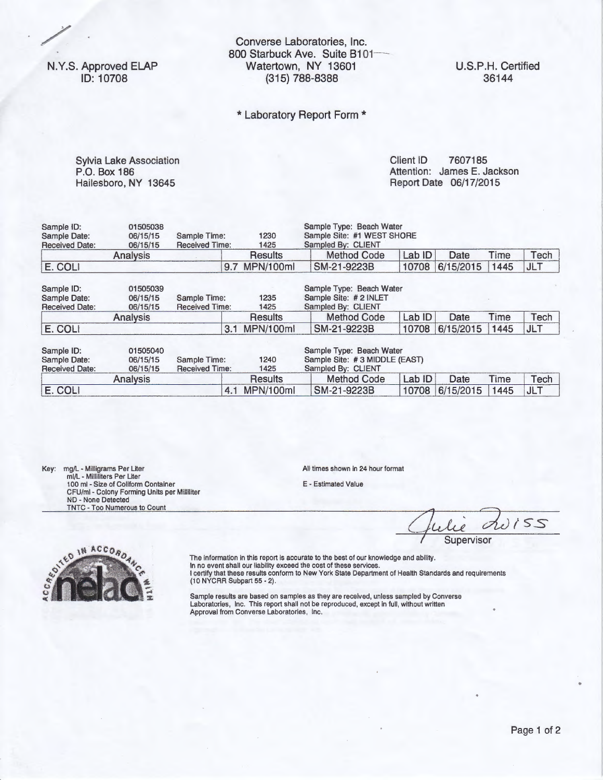N.Y.S. Approved ELAP ID: 10708

Converse Laboratories, Inc. 800 Starbuck Ave. Suite B101-Watertown, NY 13601 (315) 788-8388

## \* Laboratory Report Form \*

P.O. Box 186 Hailesboro, NY 13645

Sylvia Lake Association Client ID 7607185 Attention: James E. Jackson Report Date 06/17/2015

| Sample ID:            | 01505038 |                       |      |                |                               | Sample Type: Beach Water |        |           |      |            |  |  |
|-----------------------|----------|-----------------------|------|----------------|-------------------------------|--------------------------|--------|-----------|------|------------|--|--|
| Sample Date:          | 06/15/15 | Sample Time:          |      | 1230           | Sample Site: #1 WEST SHORE    |                          |        |           |      |            |  |  |
| <b>Received Date:</b> | 06/15/15 | <b>Received Time:</b> |      | 1425           |                               | Sampled By: CLIENT       |        |           |      |            |  |  |
|                       | Analysis |                       |      | <b>Results</b> |                               | <b>Method Code</b>       | Lab ID | Date      | Time | Tech       |  |  |
| E. COLI               |          |                       | 9.7  | MPN/100ml      |                               | SM-21-9223B              | 10708  | 6/15/2015 | 1445 | <b>JLT</b> |  |  |
| Sample ID:            | 01505039 |                       |      |                |                               | Sample Type: Beach Water |        |           |      |            |  |  |
| Sample Date:          | 06/15/15 | Sample Time:          |      | 1235           | Sample Site: # 2 INLET        |                          |        |           |      |            |  |  |
| <b>Received Date:</b> | 06/15/15 | <b>Received Time:</b> | 1425 |                |                               | Sampled By: CLIENT       |        |           |      |            |  |  |
|                       | Analysis |                       |      | <b>Results</b> |                               | <b>Method Code</b>       | Lab ID | Date      | Time | Tech       |  |  |
| E. COLI               |          |                       | 3.1  | MPN/100ml      |                               | SM-21-9223B              | 10708  | 6/15/2015 | 1445 | <b>JLT</b> |  |  |
|                       |          |                       |      |                |                               |                          |        |           |      |            |  |  |
| Sample ID:            | 01505040 |                       |      |                |                               | Sample Type: Beach Water |        |           |      |            |  |  |
| Sample Date:          | 06/15/15 | Sample Time:          | 1240 |                | Sample Site: #3 MIDDLE (EAST) |                          |        |           |      |            |  |  |
| <b>Received Date:</b> | 06/15/15 | <b>Received Time:</b> |      | 1425           |                               | Sampled By: CLIENT       |        |           |      |            |  |  |
|                       | Analysis |                       |      | Results        |                               | <b>Method Code</b>       | Lab ID | Date      | Time | Tech       |  |  |
| E. COLI               |          |                       | 4.1  | MPN/100ml      |                               | SM-21-9223B              | 10708  | 6/15/2015 | 1445 | <b>JLT</b> |  |  |

Key: mg/l - Milligrams Per Liter ml/L - Milliliters Per Liter 1 00 ml - Size of Coliform Container CFU/ml - Colony Forming Units per Milliliter ND - None Detected TNTC - Too Numerous to Count

All times shown in 24 hour format

E - Estimated Value

duiss

**Supervisor** 



The information in this report is accurate to the best of our knowledge and ability.<br>In no event shall our liability exceed the cost of these services.<br>I certify that these results conform to New York State Department of H

 $\frac{1}{2}$  Sample results are based on samples as they are received, unless sampled by Converse Laboratories, Inc. This report shall not be reproduced, except in full, without written Approval from Converse Laboratories, Inc.

..

U.S.P.H. Certified 36144